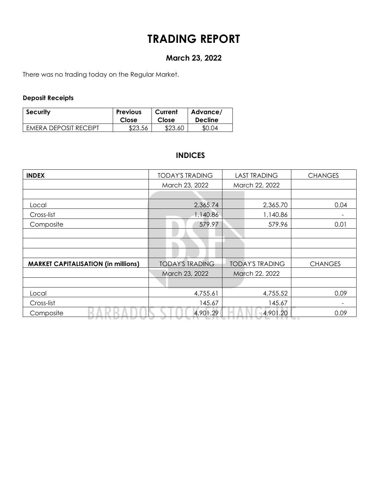## **TRADING REPORT**

## **March 23, 2022**

There was no trading today on the Regular Market.

#### **Deposit Receipts**

| <b>Security</b>              | <b>Previous</b> | Current | Advance/       |
|------------------------------|-----------------|---------|----------------|
|                              | Close           | Close   | <b>Decline</b> |
| <b>FMERA DEPOSIT RECEIPT</b> | \$23.56         | \$23.60 | \$0.04         |

## **INDICES**

| <b>INDEX</b>                               | <b>TODAY'S TRADING</b> | <b>LAST TRADING</b>    | <b>CHANGES</b> |  |  |
|--------------------------------------------|------------------------|------------------------|----------------|--|--|
|                                            | March 23, 2022         | March 22, 2022         |                |  |  |
|                                            |                        |                        |                |  |  |
| Local                                      | 2,365.74               | 2,365.70               | 0.04           |  |  |
| Cross-list                                 | 1,140.86               | 1,140.86               |                |  |  |
| Composite                                  | 579.97                 | 579.96                 | 0.01           |  |  |
|                                            |                        |                        |                |  |  |
|                                            |                        |                        |                |  |  |
|                                            |                        |                        |                |  |  |
| <b>MARKET CAPITALISATION (in millions)</b> | <b>TODAY'S TRADING</b> | <b>TODAY'S TRADING</b> | <b>CHANGES</b> |  |  |
|                                            | March 23, 2022         | March 22, 2022         |                |  |  |
|                                            |                        |                        |                |  |  |
| Local                                      | 4,755.61               | 4,755.52               | 0.09           |  |  |
| Cross-list                                 | 145.67                 | 145.67                 |                |  |  |
| Composite                                  | 4,901.29               | 4,901.20               | 0.09           |  |  |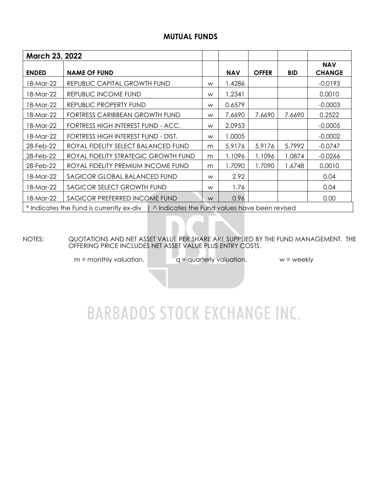### **MUTUAL FUNDS**

| <b>March 23, 2022</b>                                                                    |                                      |   |            |              |            |                             |  |  |  |
|------------------------------------------------------------------------------------------|--------------------------------------|---|------------|--------------|------------|-----------------------------|--|--|--|
| <b>ENDED</b>                                                                             | <b>NAME OF FUND</b>                  |   | <b>NAV</b> | <b>OFFER</b> | <b>BID</b> | <b>NAV</b><br><b>CHANGE</b> |  |  |  |
| 18-Mar-22                                                                                | REPUBLIC CAPITAL GROWTH FUND         | W | 1.4286     |              |            | $-0.0193$                   |  |  |  |
| 18-Mar-22                                                                                | REPUBLIC INCOME FUND                 | W | 1.2341     |              |            | 0.0010                      |  |  |  |
| 18-Mar-22                                                                                | REPUBLIC PROPERTY FUND               | W | 0.6579     |              |            | $-0.0003$                   |  |  |  |
| 18-Mar-22                                                                                | FORTRESS CARIBBEAN GROWTH FUND       | W | 7.6690     | 7.6690       | 7.6690     | 0.2522                      |  |  |  |
| 18-Mar-22                                                                                | FORTRESS HIGH INTEREST FUND - ACC.   | W | 2.0953     |              |            | $-0.0005$                   |  |  |  |
| 18-Mar-22                                                                                | FORTRESS HIGH INTEREST FUND - DIST.  | W | 1.0005     |              |            | $-0.0002$                   |  |  |  |
| 28-Feb-22                                                                                | ROYAL FIDELITY SELECT BALANCED FUND  | m | 5.9176     | 5.9176       | 5.7992     | $-0.0747$                   |  |  |  |
| 28-Feb-22                                                                                | ROYAL FIDELITY STRATEGIC GROWTH FUND | m | 1.1096     | 1.1096       | 1.0874     | $-0.0266$                   |  |  |  |
| 28-Feb-22                                                                                | ROYAL FIDELITY PREMIUM INCOME FUND   | m | 1.7090     | 1.7090       | 1.6748     | 0.0010                      |  |  |  |
| 18-Mar-22                                                                                | SAGICOR GLOBAL BALANCED FUND         | W | 2.92       |              |            | 0.04                        |  |  |  |
| 18-Mar-22                                                                                | SAGICOR SELECT GROWTH FUND           | W | 1.76       |              |            | 0.04                        |  |  |  |
| SAGICOR PREFERRED INCOME FUND<br>18-Mar-22                                               |                                      |   | 0.96       |              |            | 0.00                        |  |  |  |
| * Indicates the Fund is currently ex-div   ^ Indicates the Fund values have been revised |                                      |   |            |              |            |                             |  |  |  |

NOTES: QUOTATIONS AND NET ASSET VALUE PER SHARE ARE SUPPLIED BY THE FUND MANAGEMENT. THE OFFERING PRICE INCLUDES NET ASSET VALUE PLUS ENTRY COSTS.

 $m =$  monthly valuation,  $q =$  quarterly valuation,  $w =$  weekly

# **BARBADOS STOCK EXCHANGE INC.**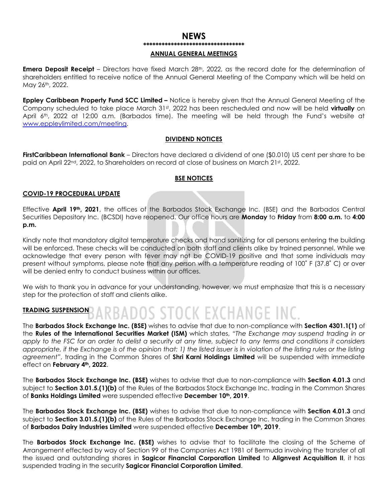## **NEWS \*\*\*\*\*\*\*\*\*\*\*\*\*\*\*\*\*\*\*\*\*\*\*\*\*\*\*\*\*\*\*\*\***

#### **ANNUAL GENERAL MEETINGS**

**Emera Deposit Receipt** – Directors have fixed March 28<sup>th</sup>, 2022, as the record date for the determination of shareholders entitled to receive notice of the Annual General Meeting of the Company which will be held on May 26th, 2022.

**Eppley Caribbean Property Fund SCC Limited –** Notice is hereby given that the Annual General Meeting of the Company scheduled to take place March 31st, 2022 has been rescheduled and now will be held **virtually** on April 6th, 2022 at 12:00 a.m. (Barbados time). The meeting will be held through the Fund's website at [www.eppleylimited.com/meeting.](http://www.eppleylimited.com/meeting)

#### **DIVIDEND NOTICES**

**FirstCaribbean International Bank** – Directors have declared a dividend of one (\$0.010) US cent per share to be paid on April 22<sup>nd</sup>, 2022, to Shareholders on record at close of business on March 21st, 2022.

#### **BSE NOTICES**

#### **COVID-19 PROCEDURAL UPDATE**

Effective **April 19th, 2021**, the offices of the Barbados Stock Exchange Inc. (BSE) and the Barbados Central Securities Depository Inc. (BCSDI) have reopened. Our office hours are **Monday** to **Friday** from **8:00 a.m.** to **4:00 p.m.**

Kindly note that mandatory digital temperature checks and hand sanitizing for all persons entering the building will be enforced. These checks will be conducted on both staff and clients alike by trained personnel. While we acknowledge that every person with fever may not be COVID-19 positive and that some individuals may present without symptoms, please note that any person with a temperature reading of 100˚ F (37.8˚ C) or over will be denied entry to conduct business within our offices.

We wish to thank you in advance for your understanding, however, we must emphasize that this is a necessary step for the protection of staff and clients alike.

## **TRADING SUSPENSION**

The **Barbados Stock Exchange Inc. (BSE)** wishes to advise that due to non-compliance with **Section 4301.1(1)** of the **Rules of the International Securities Market (ISM)** which states, *"The Exchange may suspend trading in or apply to the FSC for an order to delist a security at any time, subject to any terms and conditions it considers appropriate, if the Exchange is of the opinion that: 1) the listed issuer is in violation of the listing rules or the listing agreement"*, trading in the Common Shares of **Shri Karni Holdings Limited** will be suspended with immediate effect on **February 4th, 2022**.

The **Barbados Stock Exchange Inc. (BSE)** wishes to advise that due to non-compliance with **Section 4.01.3** and subject to **Section 3.01.5.(1)(b)** of the Rules of the Barbados Stock Exchange Inc. trading in the Common Shares of **Banks Holdings Limited** were suspended effective **December 10th, 2019**.

The **Barbados Stock Exchange Inc. (BSE)** wishes to advise that due to non-compliance with **Section 4.01.3** and subject to **Section 3.01.5.(1)(b)** of the Rules of the Barbados Stock Exchange Inc. trading in the Common Shares of **Barbados Dairy Industries Limited** were suspended effective **December 10th, 2019**.

The **Barbados Stock Exchange Inc. (BSE)** wishes to advise that to facilitate the closing of the Scheme of Arrangement effected by way of Section 99 of the Companies Act 1981 of Bermuda involving the transfer of all the issued and outstanding shares in **Sagicor Financial Corporation Limited** to **Alignvest Acquisition II**, it has suspended trading in the security **Sagicor Financial Corporation Limited**.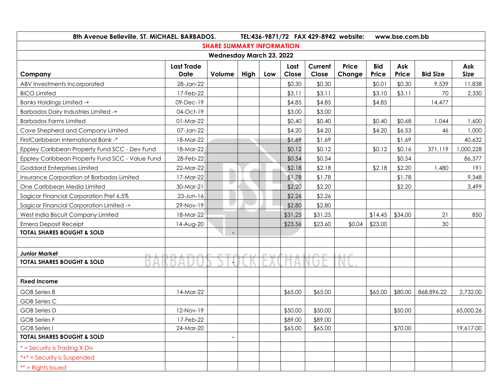| 8th Avenue Belleville, ST. MICHAEL. BARBADOS.   | TEL:436-9871/72 FAX 429-8942 website:<br>www.bse.com.bb |        |      |     |               |                  |                 |                     |              |                 |                    |
|-------------------------------------------------|---------------------------------------------------------|--------|------|-----|---------------|------------------|-----------------|---------------------|--------------|-----------------|--------------------|
| <b>SHARE SUMMARY INFORMATION</b>                |                                                         |        |      |     |               |                  |                 |                     |              |                 |                    |
| Wednesday March 23, 2022                        |                                                         |        |      |     |               |                  |                 |                     |              |                 |                    |
| Company                                         | <b>Last Trade</b><br>Date                               | Volume | High | Low | Last<br>Close | Current<br>Close | Price<br>Change | <b>Bid</b><br>Price | Ask<br>Price | <b>Bid Size</b> | Ask<br><b>Size</b> |
| ABV Investments Incorporated                    | 28-Jan-22                                               |        |      |     | \$0.30        | \$0.30           |                 | \$0.01              | \$0.30       | 9,539           | 11,838             |
| <b>BICO Limited</b>                             | 17-Feb-22                                               |        |      |     | \$3.11        | \$3.11           |                 | \$3.10              | \$3.11       | 70              | 2,330              |
| <b>Banks Holdings Limited -+</b>                | 09-Dec-19                                               |        |      |     | \$4.85        | \$4.85           |                 | \$4.85              |              | 14,477          |                    |
| <b>Barbados Dairy Industries Limited -+</b>     | 04-Oct-19                                               |        |      |     | \$3.00        | \$3.00           |                 |                     |              |                 |                    |
| <b>Barbados Farms Limited</b>                   | 01-Mar-22                                               |        |      |     | \$0.40        | \$0.40           |                 | \$0.40              | \$0.68       | 1,044           | 1,600              |
| Cave Shepherd and Company Limited               | 07-Jan-22                                               |        |      |     | \$4.20        | \$4.20           |                 | \$4.20              | \$6.53       | 46              | 1,000              |
| FirstCaribbean International Bank -*            | 18-Mar-22                                               |        |      |     | \$1.69        | \$1.69           |                 |                     | \$1.69       |                 | 40,632             |
| Eppley Caribbean Property Fund SCC - Dev Fund   | 18-Mar-22                                               |        |      |     | \$0.12        | \$0.12           |                 | \$0.12              | \$0.16       | 371,119         | ,000,228           |
| Eppley Caribbean Property Fund SCC - Value Fund | 28-Feb-22                                               |        |      |     | \$0.54        | \$0.54           |                 |                     | \$0.54       |                 | 86,377             |
| <b>Goddard Enterprises Limited</b>              | 22-Mar-22                                               |        |      |     | \$2.18        | \$2.18           |                 | \$2.18              | \$2.20       | 1,480           | 191                |
| Insurance Corporation of Barbados Limited       | 17-Mar-22                                               |        |      |     | \$1.78        | \$1.78           |                 |                     | \$1.78       |                 | 9,348              |
| One Caribbean Media Limited                     | 30-Mar-21                                               | u,     |      |     | \$2.20        | \$2.20           |                 |                     | \$2.20       |                 | 3,499              |
| Sagicor Financial Corporation Pref 6.5%         | 23-Jun-16                                               |        |      |     | \$2.26        | \$2.26           |                 |                     |              |                 |                    |
| Sagicor Financial Corporation Limited -+        | 29-Nov-19                                               |        |      |     | \$2.80        | \$2.80           |                 |                     |              |                 |                    |
| West India Biscuit Company Limited              | 18-Mar-22                                               |        |      |     | \$31.25       | \$31.25          |                 | \$14.45             | \$34.00      | 21              | 850                |
| <b>Emera Deposit Receipt</b>                    | 14-Aug-20                                               |        |      |     | \$23.56       | \$23.60          | \$0.04          | \$23.00             |              | 30              |                    |
| <b>TOTAL SHARES BOUGHT &amp; SOLD</b>           |                                                         | ÷,     |      |     |               |                  |                 |                     |              |                 |                    |
|                                                 |                                                         |        |      |     |               |                  |                 |                     |              |                 |                    |
| <b>Junior Market</b>                            |                                                         |        |      |     |               | $\sim$           |                 |                     |              |                 |                    |
| <b>TOTAL SHARES BOUGHT &amp; SOLD</b>           |                                                         |        |      |     |               |                  |                 |                     |              |                 |                    |
|                                                 |                                                         |        |      |     |               |                  |                 |                     |              |                 |                    |
| <b>Fixed Income</b>                             |                                                         |        |      |     |               |                  |                 |                     |              |                 |                    |
| <b>GOB Series B</b>                             | 14-Mar-22                                               |        |      |     | \$65.00       | \$65.00          |                 | \$65.00             | \$80.00      | 868,896.22      | 2,732.00           |
| <b>GOB Series C</b>                             |                                                         |        |      |     |               |                  |                 |                     |              |                 |                    |
| <b>GOB Series D</b>                             | 12-Nov-19                                               |        |      |     | \$50.00       | \$50.00          |                 |                     | \$50.00      |                 | 65,000.26          |
| <b>GOB</b> Series F                             | 17-Feb-22                                               |        |      |     | \$89.00       | \$89.00          |                 |                     |              |                 |                    |
| <b>GOB</b> Series I                             | 24-Mar-20                                               |        |      |     | \$65.00       | \$65.00          |                 |                     | \$70.00      |                 | 19,617.00          |
| <b>TOTAL SHARES BOUGHT &amp; SOLD</b>           |                                                         |        |      |     |               |                  |                 |                     |              |                 |                    |
| * = Security is Trading X-Div                   |                                                         |        |      |     |               |                  |                 |                     |              |                 |                    |
| *+* = Security is Suspended                     |                                                         |        |      |     |               |                  |                 |                     |              |                 |                    |
| $**$ = Rights Issued                            |                                                         |        |      |     |               |                  |                 |                     |              |                 |                    |